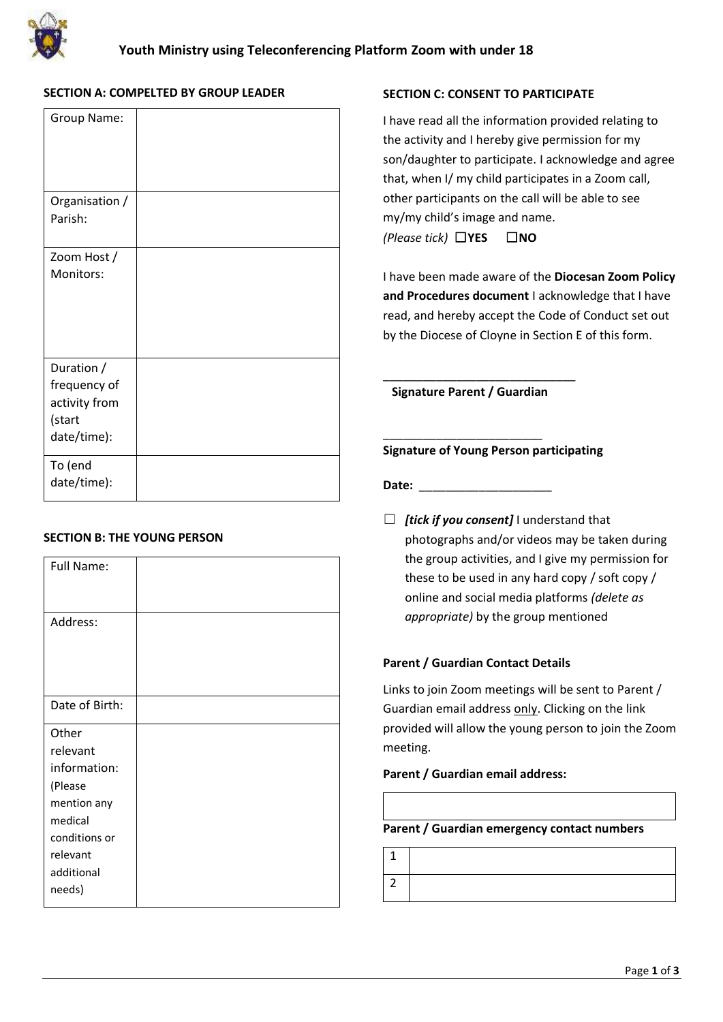

# **SECTION A: COMPELTED BY GROUP LEADER**

| Group Name:             |  |
|-------------------------|--|
| Organisation /          |  |
| Parish:                 |  |
| Zoom Host /             |  |
| Monitors:               |  |
|                         |  |
|                         |  |
| Duration /              |  |
| frequency of            |  |
| activity from<br>(start |  |
| date/time):             |  |
|                         |  |
| To (end<br>date/time):  |  |
|                         |  |

# **SECTION B: THE YOUNG PERSON**

| Full Name:     |  |
|----------------|--|
| Address:       |  |
| Date of Birth: |  |
| Other          |  |
| relevant       |  |
| information:   |  |
| (Please        |  |
| mention any    |  |
| medical        |  |
| conditions or  |  |
| relevant       |  |
| additional     |  |
| needs)         |  |

# **SECTION C: CONSENT TO PARTICIPATE**

I have read all the information provided relating to the activity and I hereby give permission for my son/daughter to participate. I acknowledge and agree that, when I/ my child participates in a Zoom call, other participants on the call will be able to see my/my child's image and name. *(Please tick)* ☐**YES** ☐**NO**

I have been made aware of the **Diocesan Zoom Policy and Procedures document** I acknowledge that I have read, and hereby accept the Code of Conduct set out by the Diocese of Cloyne in Section E of this form.

**Signature Parent / Guardian** 

\_\_\_\_\_\_\_\_\_\_\_\_\_\_\_\_\_\_\_\_\_\_\_\_

\_\_\_\_\_\_\_\_\_\_\_\_\_\_\_\_\_\_\_\_\_\_\_\_\_\_\_\_\_

# **Signature of Young Person participating**

Date:

☐ *[tick if you consent]* I understand that photographs and/or videos may be taken during the group activities, and I give my permission for these to be used in any hard copy / soft copy / online and social media platforms *(delete as appropriate)* by the group mentioned

# **Parent / Guardian Contact Details**

Links to join Zoom meetings will be sent to Parent / Guardian email address only. Clicking on the link provided will allow the young person to join the Zoom meeting.

# **Parent / Guardian email address:**

| Parent / Guardian emergency contact numbers |  |  |
|---------------------------------------------|--|--|
|                                             |  |  |
|                                             |  |  |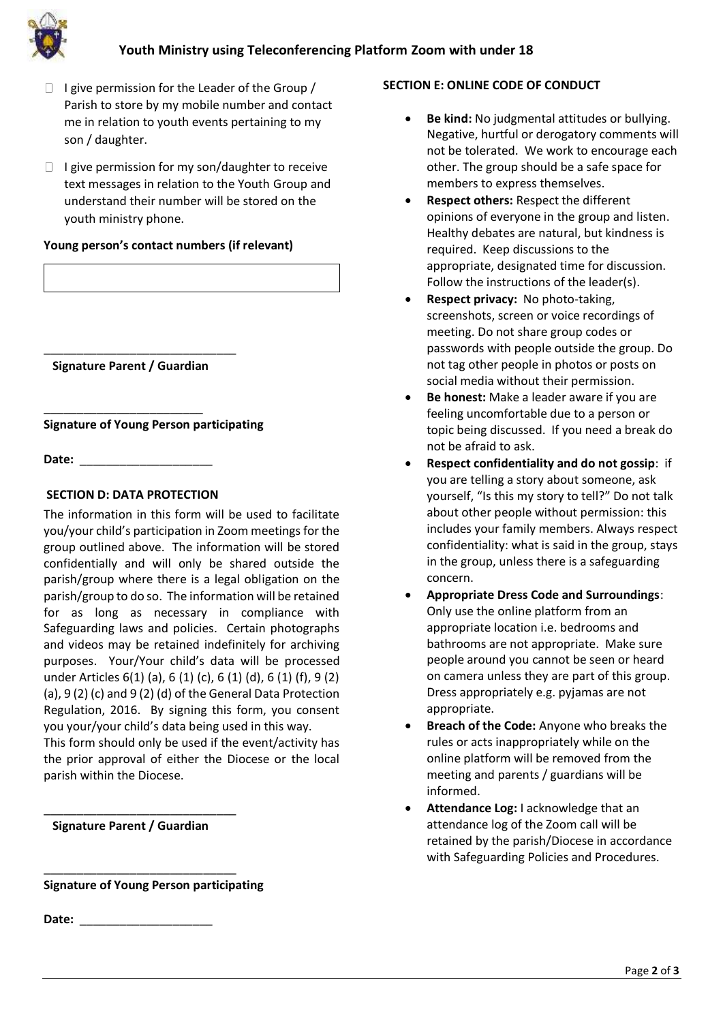



- $\Box$  I give permission for the Leader of the Group / Parish to store by my mobile number and contact me in relation to youth events pertaining to my son / daughter.
- $\Box$  I give permission for my son/daughter to receive text messages in relation to the Youth Group and understand their number will be stored on the youth ministry phone.

# **Young person's contact numbers (if relevant)**

\_\_\_\_\_\_\_\_\_\_\_\_\_\_\_\_\_\_\_\_\_\_\_\_\_\_\_\_\_ **Signature Parent / Guardian** 

**Signature of Young Person participating**

Date:

\_\_\_\_\_\_\_\_\_\_\_\_\_\_\_\_\_\_\_\_\_\_\_\_

# **SECTION D: DATA PROTECTION**

The information in this form will be used to facilitate you/your child's participation in Zoom meetings for the group outlined above. The information will be stored confidentially and will only be shared outside the parish/group where there is a legal obligation on the parish/group to do so. The information will be retained for as long as necessary in compliance with Safeguarding laws and policies. Certain photographs and videos may be retained indefinitely for archiving purposes. Your/Your child's data will be processed under Articles 6(1) (a), 6 (1) (c), 6 (1) (d), 6 (1) (f), 9 (2) (a), 9 (2) (c) and 9 (2) (d) of the General Data Protection Regulation, 2016. By signing this form, you consent you your/your child's data being used in this way.

This form should only be used if the event/activity has the prior approval of either the Diocese or the local parish within the Diocese.

# **Signature Parent / Guardian**

\_\_\_\_\_\_\_\_\_\_\_\_\_\_\_\_\_\_\_\_\_\_\_\_\_\_\_\_\_

\_\_\_\_\_\_\_\_\_\_\_\_\_\_\_\_\_\_\_\_\_\_\_\_\_\_\_\_\_

**Signature of Young Person participating**

**Date:** \_\_\_\_\_\_\_\_\_\_\_\_\_\_\_\_\_\_\_\_

# **SECTION E: ONLINE CODE OF CONDUCT**

- **Be kind:** No judgmental attitudes or bullying. Negative, hurtful or derogatory comments will not be tolerated. We work to encourage each other. The group should be a safe space for members to express themselves.
- **Respect others:** Respect the different opinions of everyone in the group and listen. Healthy debates are natural, but kindness is required. Keep discussions to the appropriate, designated time for discussion. Follow the instructions of the leader(s).
- **Respect privacy:** No photo-taking, screenshots, screen or voice recordings of meeting. Do not share group codes or passwords with people outside the group. Do not tag other people in photos or posts on social media without their permission.
- **Be honest:** Make a leader aware if you are feeling uncomfortable due to a person or topic being discussed. If you need a break do not be afraid to ask.
- **Respect confidentiality and do not gossip**: if you are telling a story about someone, ask yourself, "Is this my story to tell?" Do not talk about other people without permission: this includes your family members. Always respect confidentiality: what is said in the group, stays in the group, unless there is a safeguarding concern.
- **Appropriate Dress Code and Surroundings**: Only use the online platform from an appropriate location i.e. bedrooms and bathrooms are not appropriate. Make sure people around you cannot be seen or heard on camera unless they are part of this group. Dress appropriately e.g. pyjamas are not appropriate.
- **Breach of the Code:** Anyone who breaks the rules or acts inappropriately while on the online platform will be removed from the meeting and parents / guardians will be informed.
- **Attendance Log:** I acknowledge that an attendance log of the Zoom call will be retained by the parish/Diocese in accordance with Safeguarding Policies and Procedures.